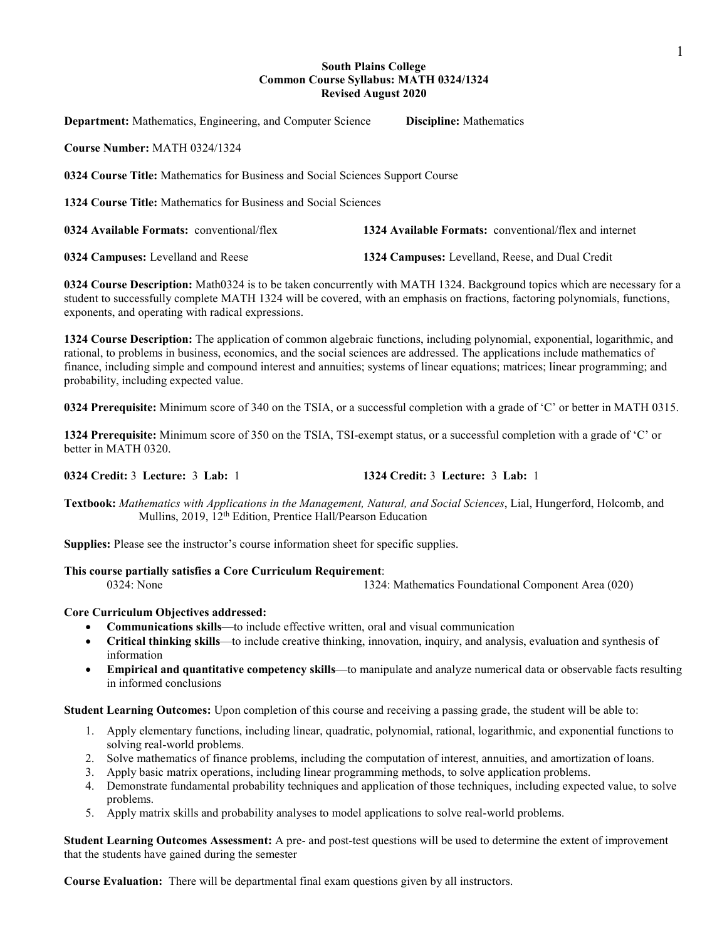### **South Plains College Common Course Syllabus: MATH 0324/1324 Revised August 2020**

**Department:** Mathematics, Engineering, and Computer Science **Discipline:** Mathematics

**Course Number:** MATH 0324/1324

**0324 Course Title:** Mathematics for Business and Social Sciences Support Course

**1324 Course Title:** Mathematics for Business and Social Sciences

| 0324 Available Formats: conventional/flex | <b>1324 Available Formats:</b> conventional/flex and internet |
|-------------------------------------------|---------------------------------------------------------------|
|                                           |                                                               |

**0324 Campuses:** Levelland and Reese **1324 Campuses:** Levelland, Reese, and Dual Credit

**0324 Course Description:** Math0324 is to be taken concurrently with MATH 1324. Background topics which are necessary for a student to successfully complete MATH 1324 will be covered, with an emphasis on fractions, factoring polynomials, functions, exponents, and operating with radical expressions.

**1324 Course Description:** The application of common algebraic functions, including polynomial, exponential, logarithmic, and rational, to problems in business, economics, and the social sciences are addressed. The applications include mathematics of finance, including simple and compound interest and annuities; systems of linear equations; matrices; linear programming; and probability, including expected value.

**0324 Prerequisite:** Minimum score of 340 on the TSIA, or a successful completion with a grade of 'C' or better in MATH 0315.

**1324 Prerequisite:** Minimum score of 350 on the TSIA, TSI-exempt status, or a successful completion with a grade of 'C' or better in MATH 0320.

# **0324 Credit:** 3 **Lecture:** 3 **Lab:** 1 **1324 Credit:** 3 **Lecture:** 3 **Lab:** 1

**Textbook:** *Mathematics with Applications in the Management, Natural, and Social Sciences*, Lial, Hungerford, Holcomb, and Mullins, 2019, 12<sup>th</sup> Edition, Prentice Hall/Pearson Education

**Supplies:** Please see the instructor's course information sheet for specific supplies.

# **This course partially satisfies a Core Curriculum Requirement**:

1324: Mathematics Foundational Component Area (020)

# **Core Curriculum Objectives addressed:**

- **Communications skills**—to include effective written, oral and visual communication
- **Critical thinking skills**—to include creative thinking, innovation, inquiry, and analysis, evaluation and synthesis of information
- **Empirical and quantitative competency skills**—to manipulate and analyze numerical data or observable facts resulting in informed conclusions

**Student Learning Outcomes:** Upon completion of this course and receiving a passing grade, the student will be able to:

- 1. Apply elementary functions, including linear, quadratic, polynomial, rational, logarithmic, and exponential functions to solving real-world problems.
- 2. Solve mathematics of finance problems, including the computation of interest, annuities, and amortization of loans.
- 3. Apply basic matrix operations, including linear programming methods, to solve application problems.
- 4. Demonstrate fundamental probability techniques and application of those techniques, including expected value, to solve problems.
- 5. Apply matrix skills and probability analyses to model applications to solve real-world problems.

**Student Learning Outcomes Assessment:** A pre- and post-test questions will be used to determine the extent of improvement that the students have gained during the semester

**Course Evaluation:** There will be departmental final exam questions given by all instructors.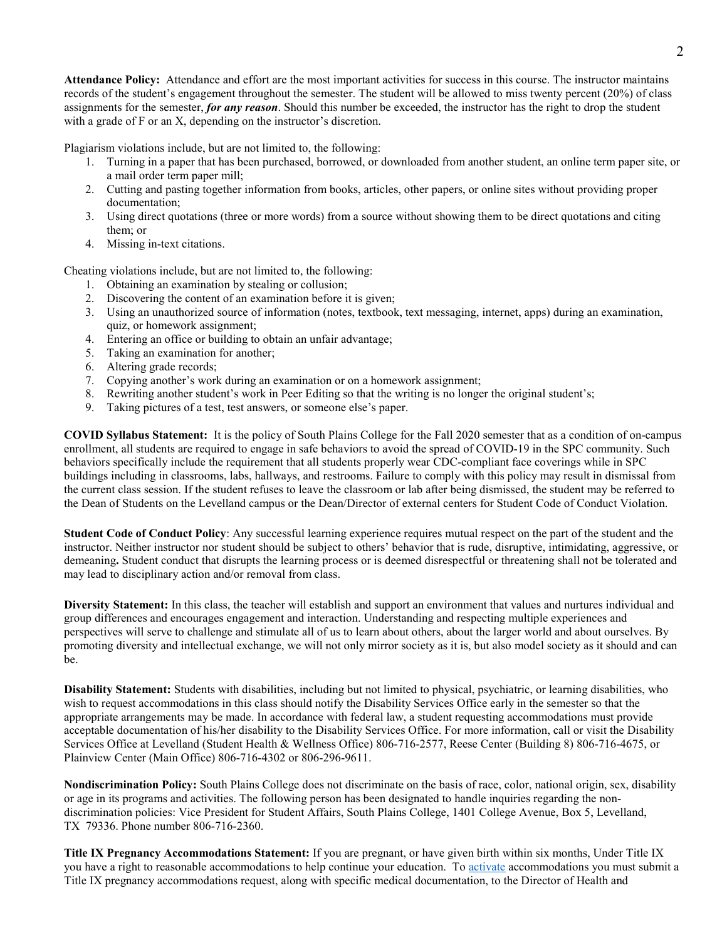**Attendance Policy:** Attendance and effort are the most important activities for success in this course. The instructor maintains records of the student's engagement throughout the semester. The student will be allowed to miss twenty percent (20%) of class assignments for the semester, *for any reason*. Should this number be exceeded, the instructor has the right to drop the student with a grade of F or an X, depending on the instructor's discretion.

Plagiarism violations include, but are not limited to, the following:

- 1. Turning in a paper that has been purchased, borrowed, or downloaded from another student, an online term paper site, or a mail order term paper mill;
- 2. Cutting and pasting together information from books, articles, other papers, or online sites without providing proper documentation;
- 3. Using direct quotations (three or more words) from a source without showing them to be direct quotations and citing them; or
- 4. Missing in-text citations.

Cheating violations include, but are not limited to, the following:

- 1. Obtaining an examination by stealing or collusion;
- 2. Discovering the content of an examination before it is given;
- 3. Using an unauthorized source of information (notes, textbook, text messaging, internet, apps) during an examination, quiz, or homework assignment;
- 4. Entering an office or building to obtain an unfair advantage;
- 5. Taking an examination for another;
- 6. Altering grade records;
- 7. Copying another's work during an examination or on a homework assignment;
- 8. Rewriting another student's work in Peer Editing so that the writing is no longer the original student's;
- 9. Taking pictures of a test, test answers, or someone else's paper.

**COVID Syllabus Statement:** It is the policy of South Plains College for the Fall 2020 semester that as a condition of on-campus enrollment, all students are required to engage in safe behaviors to avoid the spread of COVID-19 in the SPC community. Such behaviors specifically include the requirement that all students properly wear CDC-compliant face coverings while in SPC buildings including in classrooms, labs, hallways, and restrooms. Failure to comply with this policy may result in dismissal from the current class session. If the student refuses to leave the classroom or lab after being dismissed, the student may be referred to the Dean of Students on the Levelland campus or the Dean/Director of external centers for Student Code of Conduct Violation.

**Student Code of Conduct Policy**: Any successful learning experience requires mutual respect on the part of the student and the instructor. Neither instructor nor student should be subject to others' behavior that is rude, disruptive, intimidating, aggressive, or demeaning**.** Student conduct that disrupts the learning process or is deemed disrespectful or threatening shall not be tolerated and may lead to disciplinary action and/or removal from class.

**Diversity Statement:** In this class, the teacher will establish and support an environment that values and nurtures individual and group differences and encourages engagement and interaction. Understanding and respecting multiple experiences and perspectives will serve to challenge and stimulate all of us to learn about others, about the larger world and about ourselves. By promoting diversity and intellectual exchange, we will not only mirror society as it is, but also model society as it should and can be.

**Disability Statement:** Students with disabilities, including but not limited to physical, psychiatric, or learning disabilities, who wish to request accommodations in this class should notify the Disability Services Office early in the semester so that the appropriate arrangements may be made. In accordance with federal law, a student requesting accommodations must provide acceptable documentation of his/her disability to the Disability Services Office. For more information, call or visit the Disability Services Office at Levelland (Student Health & Wellness Office) 806-716-2577, Reese Center (Building 8) 806-716-4675, or Plainview Center (Main Office) 806-716-4302 or 806-296-9611.

**Nondiscrimination Policy:** South Plains College does not discriminate on the basis of race, color, national origin, sex, disability or age in its programs and activities. The following person has been designated to handle inquiries regarding the nondiscrimination policies: Vice President for Student Affairs, South Plains College, 1401 College Avenue, Box 5, Levelland, TX 79336. Phone number 806-716-2360.

**Title IX Pregnancy Accommodations Statement:** If you are pregnant, or have given birth within six months, Under Title IX you have a right to reasonable accommodations to help continue your education. To [activate](http://www.southplainscollege.edu/employees/manualshandbooks/facultyhandbook/sec4.php) accommodations you must submit a Title IX pregnancy accommodations request, along with specific medical documentation, to the Director of Health and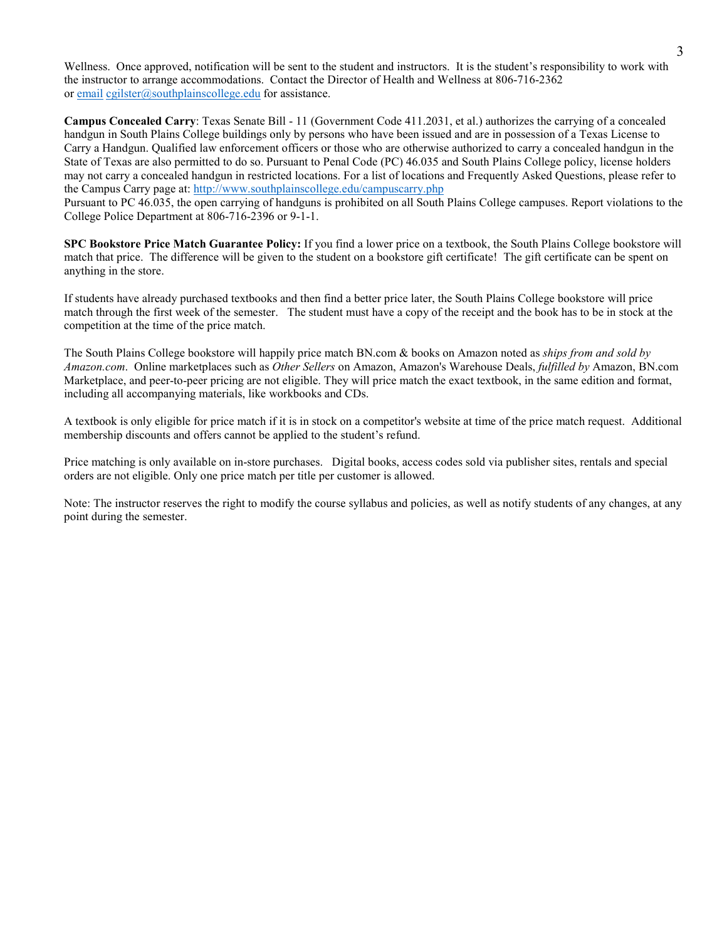Wellness. Once approved, notification will be sent to the student and instructors. It is the student's responsibility to work with the instructor to arrange accommodations. Contact the Director of Health and Wellness at 806-716-2362 or [email](http://www.southplainscollege.edu/employees/manualshandbooks/facultyhandbook/sec4.php) [cgilster@southplainscollege.edu](mailto:cgilster@southplainscollege.edu) for assistance.

**Campus Concealed Carry**: Texas Senate Bill - 11 (Government Code 411.2031, et al.) authorizes the carrying of a concealed handgun in South Plains College buildings only by persons who have been issued and are in possession of a Texas License to Carry a Handgun. Qualified law enforcement officers or those who are otherwise authorized to carry a concealed handgun in the State of Texas are also permitted to do so. Pursuant to Penal Code (PC) 46.035 and South Plains College policy, license holders may not carry a concealed handgun in restricted locations. For a list of locations and Frequently Asked Questions, please refer to the Campus Carry page at: <http://www.southplainscollege.edu/campuscarry.php>

Pursuant to PC 46.035, the open carrying of handguns is prohibited on all South Plains College campuses. Report violations to the College Police Department at 806-716-2396 or 9-1-1.

**SPC Bookstore Price Match Guarantee Policy:** If you find a lower price on a textbook, the South Plains College bookstore will match that price. The difference will be given to the student on a bookstore gift certificate! The gift certificate can be spent on anything in the store.

If students have already purchased textbooks and then find a better price later, the South Plains College bookstore will price match through the first week of the semester. The student must have a copy of the receipt and the book has to be in stock at the competition at the time of the price match.

The South Plains College bookstore will happily price match BN.com & books on Amazon noted as *ships from and sold by Amazon.com*. Online marketplaces such as *Other Sellers* on Amazon, Amazon's Warehouse Deals, *fulfilled by* Amazon, BN.com Marketplace, and peer-to-peer pricing are not eligible. They will price match the exact textbook, in the same edition and format, including all accompanying materials, like workbooks and CDs.

A textbook is only eligible for price match if it is in stock on a competitor's website at time of the price match request. Additional membership discounts and offers cannot be applied to the student's refund.

Price matching is only available on in-store purchases. Digital books, access codes sold via publisher sites, rentals and special orders are not eligible. Only one price match per title per customer is allowed.

Note: The instructor reserves the right to modify the course syllabus and policies, as well as notify students of any changes, at any point during the semester.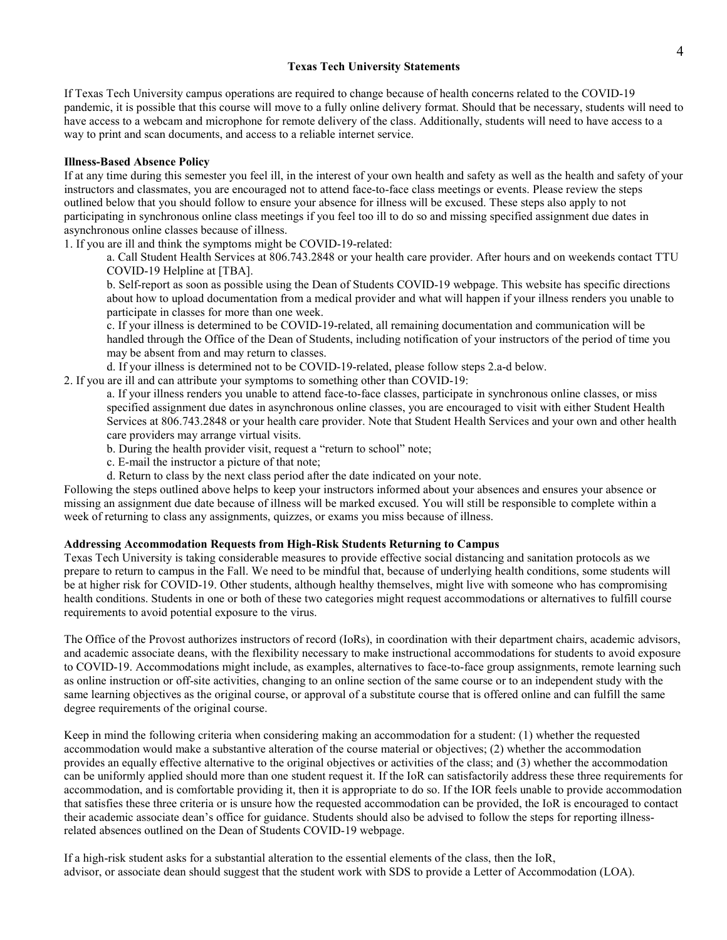### **Texas Tech University Statements**

If Texas Tech University campus operations are required to change because of health concerns related to the COVID-19 pandemic, it is possible that this course will move to a fully online delivery format. Should that be necessary, students will need to have access to a webcam and microphone for remote delivery of the class. Additionally, students will need to have access to a way to print and scan documents, and access to a reliable internet service.

#### **Illness-Based Absence Policy**

If at any time during this semester you feel ill, in the interest of your own health and safety as well as the health and safety of your instructors and classmates, you are encouraged not to attend face-to-face class meetings or events. Please review the steps outlined below that you should follow to ensure your absence for illness will be excused. These steps also apply to not participating in synchronous online class meetings if you feel too ill to do so and missing specified assignment due dates in asynchronous online classes because of illness.

1. If you are ill and think the symptoms might be COVID-19-related:

a. Call Student Health Services at 806.743.2848 or your health care provider. After hours and on weekends contact TTU COVID-19 Helpline at [TBA].

b. Self-report as soon as possible using the Dean of Students COVID-19 webpage. This website has specific directions about how to upload documentation from a medical provider and what will happen if your illness renders you unable to participate in classes for more than one week.

c. If your illness is determined to be COVID-19-related, all remaining documentation and communication will be handled through the Office of the Dean of Students, including notification of your instructors of the period of time you may be absent from and may return to classes.

d. If your illness is determined not to be COVID-19-related, please follow steps 2.a-d below.

2. If you are ill and can attribute your symptoms to something other than COVID-19:

a. If your illness renders you unable to attend face-to-face classes, participate in synchronous online classes, or miss specified assignment due dates in asynchronous online classes, you are encouraged to visit with either Student Health Services at 806.743.2848 or your health care provider. Note that Student Health Services and your own and other health care providers may arrange virtual visits.

- b. During the health provider visit, request a "return to school" note;
- c. E-mail the instructor a picture of that note;
- d. Return to class by the next class period after the date indicated on your note.

Following the steps outlined above helps to keep your instructors informed about your absences and ensures your absence or missing an assignment due date because of illness will be marked excused. You will still be responsible to complete within a week of returning to class any assignments, quizzes, or exams you miss because of illness.

#### **Addressing Accommodation Requests from High-Risk Students Returning to Campus**

Texas Tech University is taking considerable measures to provide effective social distancing and sanitation protocols as we prepare to return to campus in the Fall. We need to be mindful that, because of underlying health conditions, some students will be at higher risk for COVID-19. Other students, although healthy themselves, might live with someone who has compromising health conditions. Students in one or both of these two categories might request accommodations or alternatives to fulfill course requirements to avoid potential exposure to the virus.

The Office of the Provost authorizes instructors of record (IoRs), in coordination with their department chairs, academic advisors, and academic associate deans, with the flexibility necessary to make instructional accommodations for students to avoid exposure to COVID-19. Accommodations might include, as examples, alternatives to face-to-face group assignments, remote learning such as online instruction or off-site activities, changing to an online section of the same course or to an independent study with the same learning objectives as the original course, or approval of a substitute course that is offered online and can fulfill the same degree requirements of the original course.

Keep in mind the following criteria when considering making an accommodation for a student: (1) whether the requested accommodation would make a substantive alteration of the course material or objectives; (2) whether the accommodation provides an equally effective alternative to the original objectives or activities of the class; and (3) whether the accommodation can be uniformly applied should more than one student request it. If the IoR can satisfactorily address these three requirements for accommodation, and is comfortable providing it, then it is appropriate to do so. If the IOR feels unable to provide accommodation that satisfies these three criteria or is unsure how the requested accommodation can be provided, the IoR is encouraged to contact their academic associate dean's office for guidance. Students should also be advised to follow the steps for reporting illnessrelated absences outlined on the Dean of Students COVID-19 webpage.

If a high-risk student asks for a substantial alteration to the essential elements of the class, then the IoR, advisor, or associate dean should suggest that the student work with SDS to provide a Letter of Accommodation (LOA).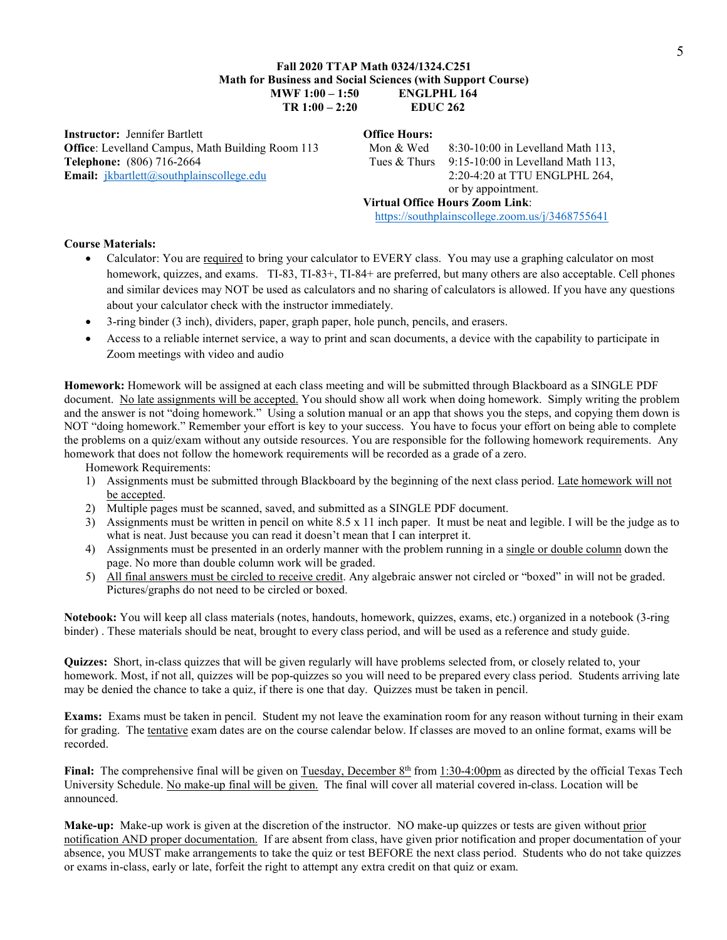### **Fall 2020 TTAP Math 0324/1324.C251 Math for Business and Social Sciences (with Support Course)**<br>MWF 1:00 - 1:50 ENGLPHL 164  $MWF 1:00 - 1:50$ **TR 1:00 – 2:20 EDUC 262**

**Instructor:** Jennifer Bartlett **Conserversity Office Hours: Office**: Levelland Campus, Math Building Room 113 Mon & Wed 8:30-10:00 in Levelland Math 113, **Telephone:** (806) 716-2664 Tues & Thurs 9:15-10:00 in Levelland Math 113, **Email:**  $\frac{1}{2}$ **i**kbartlett(@southplainscollege.edu 2:20-4:20 at TTU ENGLPHL 264,

or by appointment. **Virtual Office Hours Zoom Link**:

<https://southplainscollege.zoom.us/j/3468755641>

# **Course Materials:**

- Calculator: You are required to bring your calculator to EVERY class. You may use a graphing calculator on most homework, quizzes, and exams. TI-83, TI-83+, TI-84+ are preferred, but many others are also acceptable. Cell phones and similar devices may NOT be used as calculators and no sharing of calculators is allowed. If you have any questions about your calculator check with the instructor immediately.
- 3-ring binder (3 inch), dividers, paper, graph paper, hole punch, pencils, and erasers.
- Access to a reliable internet service, a way to print and scan documents, a device with the capability to participate in Zoom meetings with video and audio

**Homework:** Homework will be assigned at each class meeting and will be submitted through Blackboard as a SINGLE PDF document. No late assignments will be accepted. You should show all work when doing homework. Simply writing the problem and the answer is not "doing homework." Using a solution manual or an app that shows you the steps, and copying them down is NOT "doing homework." Remember your effort is key to your success. You have to focus your effort on being able to complete the problems on a quiz/exam without any outside resources. You are responsible for the following homework requirements. Any homework that does not follow the homework requirements will be recorded as a grade of a zero.

Homework Requirements:

- 1) Assignments must be submitted through Blackboard by the beginning of the next class period. Late homework will not be accepted.
- 2) Multiple pages must be scanned, saved, and submitted as a SINGLE PDF document.
- 3) Assignments must be written in pencil on white 8.5 x 11 inch paper. It must be neat and legible. I will be the judge as to what is neat. Just because you can read it doesn't mean that I can interpret it.
- 4) Assignments must be presented in an orderly manner with the problem running in a single or double column down the page. No more than double column work will be graded.
- 5) All final answers must be circled to receive credit. Any algebraic answer not circled or "boxed" in will not be graded. Pictures/graphs do not need to be circled or boxed.

**Notebook:** You will keep all class materials (notes, handouts, homework, quizzes, exams, etc.) organized in a notebook (3-ring binder) . These materials should be neat, brought to every class period, and will be used as a reference and study guide.

**Quizzes:** Short, in-class quizzes that will be given regularly will have problems selected from, or closely related to, your homework. Most, if not all, quizzes will be pop-quizzes so you will need to be prepared every class period. Students arriving late may be denied the chance to take a quiz, if there is one that day. Quizzes must be taken in pencil.

**Exams:** Exams must be taken in pencil. Student my not leave the examination room for any reason without turning in their exam for grading. The tentative exam dates are on the course calendar below. If classes are moved to an online format, exams will be recorded.

**Final:** The comprehensive final will be given on Tuesday, December 8<sup>th</sup> from 1:30-4:00pm as directed by the official Texas Tech University Schedule. No make-up final will be given. The final will cover all material covered in-class. Location will be announced.

**Make-up:** Make-up work is given at the discretion of the instructor. NO make-up quizzes or tests are given without prior notification AND proper documentation. If are absent from class, have given prior notification and proper documentation of your absence, you MUST make arrangements to take the quiz or test BEFORE the next class period. Students who do not take quizzes or exams in-class, early or late, forfeit the right to attempt any extra credit on that quiz or exam.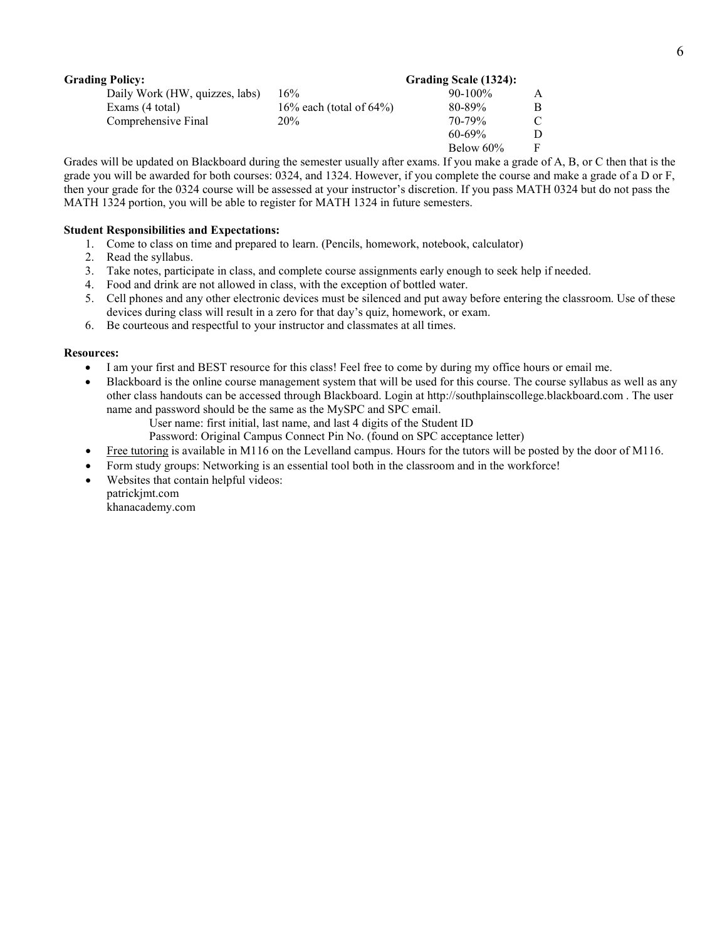| <b>Grading Policy:</b>         | Grading Scale (1324):        |             |   |
|--------------------------------|------------------------------|-------------|---|
| Daily Work (HW, quizzes, labs) | 16%                          | $90-100\%$  |   |
| Exams (4 total)                | 16\% each (total of $64\%$ ) | 80-89%      | B |
| Comprehensive Final            | 20 <sup>%</sup>              | 70-79%      |   |
|                                |                              | $60 - 69\%$ | D |
|                                |                              | Below 60%   | F |

Grades will be updated on Blackboard during the semester usually after exams. If you make a grade of A, B, or C then that is the grade you will be awarded for both courses: 0324, and 1324. However, if you complete the course and make a grade of a D or F, then your grade for the 0324 course will be assessed at your instructor's discretion. If you pass MATH 0324 but do not pass the MATH 1324 portion, you will be able to register for MATH 1324 in future semesters.

# **Student Responsibilities and Expectations:**

- 1. Come to class on time and prepared to learn. (Pencils, homework, notebook, calculator)
- 2. Read the syllabus.
- 3. Take notes, participate in class, and complete course assignments early enough to seek help if needed.
- 4. Food and drink are not allowed in class, with the exception of bottled water.
- 5. Cell phones and any other electronic devices must be silenced and put away before entering the classroom. Use of these devices during class will result in a zero for that day's quiz, homework, or exam.
- 6. Be courteous and respectful to your instructor and classmates at all times.

### **Resources:**

- I am your first and BEST resource for this class! Feel free to come by during my office hours or email me.
- Blackboard is the online course management system that will be used for this course. The course syllabus as well as any other class handouts can be accessed through Blackboard. Login at http://southplainscollege.blackboard.com . The user name and password should be the same as the MySPC and SPC email.
	- User name: first initial, last name, and last 4 digits of the Student ID
	- Password: Original Campus Connect Pin No. (found on SPC acceptance letter)
- Free tutoring is available in M116 on the Levelland campus. Hours for the tutors will be posted by the door of M116.
- Form study groups: Networking is an essential tool both in the classroom and in the workforce!
- Websites that contain helpful videos: patrickjmt.com khanacademy.com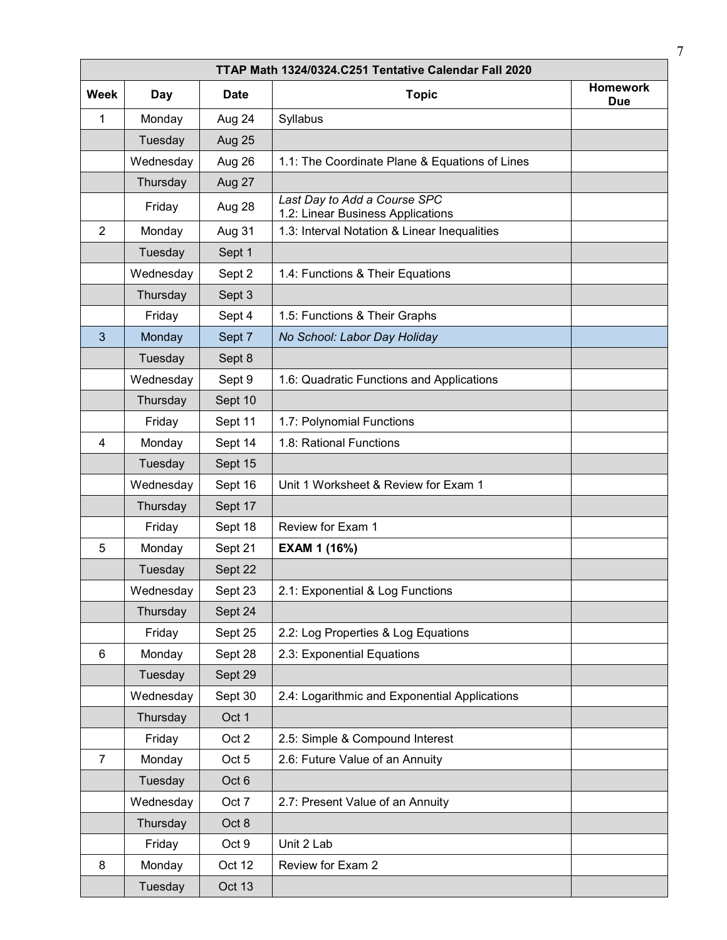| TTAP Math 1324/0324.C251 Tentative Calendar Fall 2020 |           |               |                                                                   |                               |
|-------------------------------------------------------|-----------|---------------|-------------------------------------------------------------------|-------------------------------|
| <b>Week</b>                                           | Day       | <b>Date</b>   | <b>Topic</b>                                                      | <b>Homework</b><br><b>Due</b> |
| 1                                                     | Monday    | Aug 24        | Syllabus                                                          |                               |
|                                                       | Tuesday   | <b>Aug 25</b> |                                                                   |                               |
|                                                       | Wednesday | Aug 26        | 1.1: The Coordinate Plane & Equations of Lines                    |                               |
|                                                       | Thursday  | Aug 27        |                                                                   |                               |
|                                                       | Friday    | Aug 28        | Last Day to Add a Course SPC<br>1.2: Linear Business Applications |                               |
| $\overline{2}$                                        | Monday    | Aug 31        | 1.3: Interval Notation & Linear Inequalities                      |                               |
|                                                       | Tuesday   | Sept 1        |                                                                   |                               |
|                                                       | Wednesday | Sept 2        | 1.4: Functions & Their Equations                                  |                               |
|                                                       | Thursday  | Sept 3        |                                                                   |                               |
|                                                       | Friday    | Sept 4        | 1.5: Functions & Their Graphs                                     |                               |
| 3                                                     | Monday    | Sept 7        | No School: Labor Day Holiday                                      |                               |
|                                                       | Tuesday   | Sept 8        |                                                                   |                               |
|                                                       | Wednesday | Sept 9        | 1.6: Quadratic Functions and Applications                         |                               |
|                                                       | Thursday  | Sept 10       |                                                                   |                               |
|                                                       | Friday    | Sept 11       | 1.7: Polynomial Functions                                         |                               |
| 4                                                     | Monday    | Sept 14       | 1.8: Rational Functions                                           |                               |
|                                                       | Tuesday   | Sept 15       |                                                                   |                               |
|                                                       | Wednesday | Sept 16       | Unit 1 Worksheet & Review for Exam 1                              |                               |
|                                                       | Thursday  | Sept 17       |                                                                   |                               |
|                                                       | Friday    | Sept 18       | Review for Exam 1                                                 |                               |
| 5                                                     | Monday    | Sept 21       | <b>EXAM 1 (16%)</b>                                               |                               |
|                                                       | Tuesday   | Sept 22       |                                                                   |                               |
|                                                       | Wednesday | Sept 23       | 2.1: Exponential & Log Functions                                  |                               |
|                                                       | Thursday  | Sept 24       |                                                                   |                               |
|                                                       | Friday    | Sept 25       | 2.2: Log Properties & Log Equations                               |                               |
| 6                                                     | Monday    | Sept 28       | 2.3: Exponential Equations                                        |                               |
|                                                       | Tuesday   | Sept 29       |                                                                   |                               |
|                                                       | Wednesday | Sept 30       | 2.4: Logarithmic and Exponential Applications                     |                               |
|                                                       | Thursday  | Oct 1         |                                                                   |                               |
|                                                       | Friday    | Oct 2         | 2.5: Simple & Compound Interest                                   |                               |
| 7                                                     | Monday    | Oct 5         | 2.6: Future Value of an Annuity                                   |                               |
|                                                       | Tuesday   | Oct 6         |                                                                   |                               |
|                                                       | Wednesday | Oct 7         | 2.7: Present Value of an Annuity                                  |                               |
|                                                       | Thursday  | Oct 8         |                                                                   |                               |
|                                                       | Friday    | Oct 9         | Unit 2 Lab                                                        |                               |
| 8                                                     | Monday    | Oct 12        | Review for Exam 2                                                 |                               |
|                                                       | Tuesday   | Oct 13        |                                                                   |                               |

7